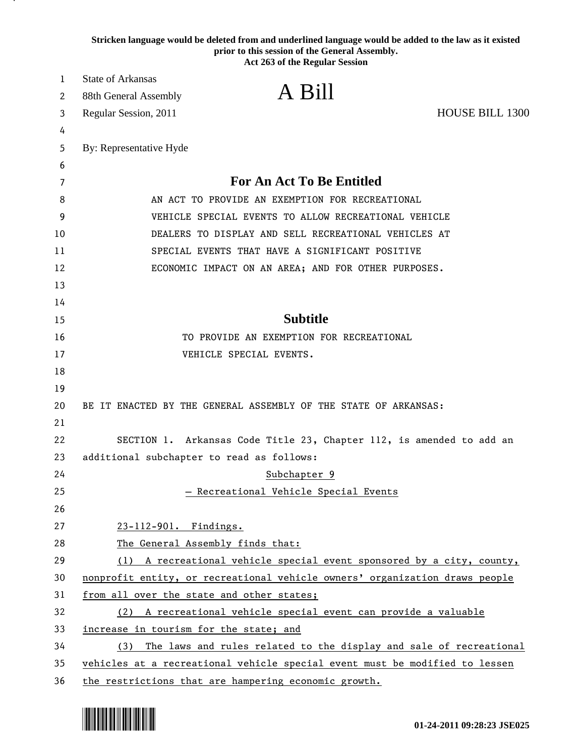| Stricken language would be deleted from and underlined language would be added to the law as it existed<br>prior to this session of the General Assembly.<br>Act 263 of the Regular Session |                                                                             |  |  |  |
|---------------------------------------------------------------------------------------------------------------------------------------------------------------------------------------------|-----------------------------------------------------------------------------|--|--|--|
| 1                                                                                                                                                                                           | <b>State of Arkansas</b>                                                    |  |  |  |
| 2                                                                                                                                                                                           | A Bill<br>88th General Assembly                                             |  |  |  |
| 3                                                                                                                                                                                           | <b>HOUSE BILL 1300</b><br>Regular Session, 2011                             |  |  |  |
| 4                                                                                                                                                                                           |                                                                             |  |  |  |
| 5                                                                                                                                                                                           | By: Representative Hyde                                                     |  |  |  |
| 6                                                                                                                                                                                           |                                                                             |  |  |  |
| 7                                                                                                                                                                                           | <b>For An Act To Be Entitled</b>                                            |  |  |  |
| 8                                                                                                                                                                                           | AN ACT TO PROVIDE AN EXEMPTION FOR RECREATIONAL                             |  |  |  |
| 9                                                                                                                                                                                           | VEHICLE SPECIAL EVENTS TO ALLOW RECREATIONAL VEHICLE                        |  |  |  |
| 10                                                                                                                                                                                          | DEALERS TO DISPLAY AND SELL RECREATIONAL VEHICLES AT                        |  |  |  |
| 11                                                                                                                                                                                          | SPECIAL EVENTS THAT HAVE A SIGNIFICANT POSITIVE                             |  |  |  |
| 12                                                                                                                                                                                          | ECONOMIC IMPACT ON AN AREA; AND FOR OTHER PURPOSES.                         |  |  |  |
| 13                                                                                                                                                                                          |                                                                             |  |  |  |
| 14                                                                                                                                                                                          |                                                                             |  |  |  |
| 15                                                                                                                                                                                          | <b>Subtitle</b>                                                             |  |  |  |
| 16                                                                                                                                                                                          | TO PROVIDE AN EXEMPTION FOR RECREATIONAL                                    |  |  |  |
| 17                                                                                                                                                                                          | VEHICLE SPECIAL EVENTS.                                                     |  |  |  |
| 18                                                                                                                                                                                          |                                                                             |  |  |  |
| 19                                                                                                                                                                                          |                                                                             |  |  |  |
| 20                                                                                                                                                                                          | BE IT ENACTED BY THE GENERAL ASSEMBLY OF THE STATE OF ARKANSAS:             |  |  |  |
| 21                                                                                                                                                                                          |                                                                             |  |  |  |
| 22                                                                                                                                                                                          | SECTION 1. Arkansas Code Title 23, Chapter 112, is amended to add an        |  |  |  |
| 23                                                                                                                                                                                          | additional subchapter to read as follows:                                   |  |  |  |
| 24                                                                                                                                                                                          | Subchapter 9                                                                |  |  |  |
| 25                                                                                                                                                                                          | - Recreational Vehicle Special Events                                       |  |  |  |
| 26                                                                                                                                                                                          |                                                                             |  |  |  |
| 27                                                                                                                                                                                          | 23-112-901. Findings.                                                       |  |  |  |
| 28                                                                                                                                                                                          | The General Assembly finds that:                                            |  |  |  |
| 29                                                                                                                                                                                          | (1) A recreational vehicle special event sponsored by a city, county,       |  |  |  |
| 30                                                                                                                                                                                          | nonprofit entity, or recreational vehicle owners' organization draws people |  |  |  |
| 31                                                                                                                                                                                          | from all over the state and other states;                                   |  |  |  |
| 32                                                                                                                                                                                          | (2) A recreational vehicle special event can provide a valuable             |  |  |  |
| 33                                                                                                                                                                                          | increase in tourism for the state; and                                      |  |  |  |
| 34                                                                                                                                                                                          | The laws and rules related to the display and sale of recreational<br>(3)   |  |  |  |
| 35                                                                                                                                                                                          | vehicles at a recreational vehicle special event must be modified to lessen |  |  |  |
| 36                                                                                                                                                                                          | the restrictions that are hampering economic growth.                        |  |  |  |



. н.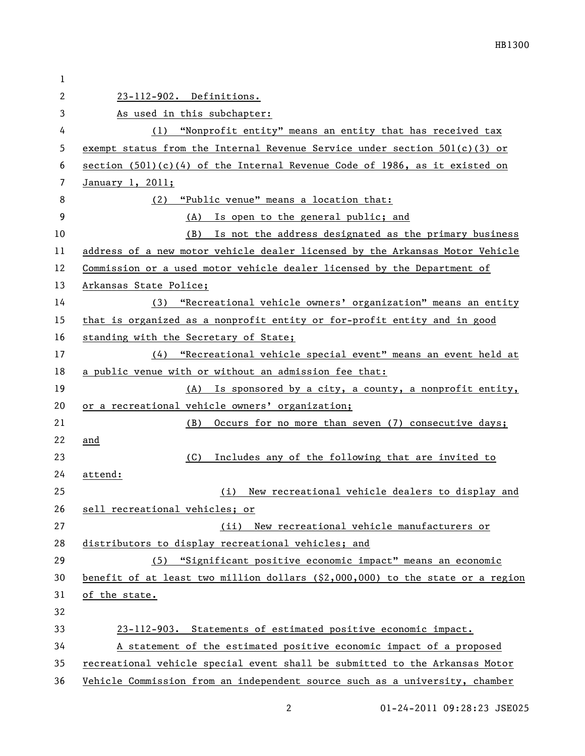| 1  |                                                                                  |  |  |
|----|----------------------------------------------------------------------------------|--|--|
| 2  | 23-112-902. Definitions.                                                         |  |  |
| 3  | As used in this subchapter:                                                      |  |  |
| 4  | (1) "Nonprofit entity" means an entity that has received tax                     |  |  |
| 5  | exempt status from the Internal Revenue Service under section $501(c)(3)$ or     |  |  |
| 6  | section $(501)(c)(4)$ of the Internal Revenue Code of 1986, as it existed on     |  |  |
| 7  | January 1, 2011;                                                                 |  |  |
| 8  | "Public venue" means a location that:<br>(2)                                     |  |  |
| 9  | (A) Is open to the general public; and                                           |  |  |
| 10 | (B) Is not the address designated as the primary business                        |  |  |
| 11 | address of a new motor vehicle dealer licensed by the Arkansas Motor Vehicle     |  |  |
| 12 | Commission or a used motor vehicle dealer licensed by the Department of          |  |  |
| 13 | Arkansas State Police;                                                           |  |  |
| 14 | (3) "Recreational vehicle owners' organization" means an entity                  |  |  |
| 15 | that is organized as a nonprofit entity or for-profit entity and in good         |  |  |
| 16 | standing with the Secretary of State;                                            |  |  |
| 17 | (4) "Recreational vehicle special event" means an event held at                  |  |  |
| 18 | a public venue with or without an admission fee that:                            |  |  |
| 19 | (A) Is sponsored by a city, a county, a nonprofit entity,                        |  |  |
| 20 | or a recreational vehicle owners' organization;                                  |  |  |
| 21 | Occurs for no more than seven (7) consecutive days;<br>(B)                       |  |  |
| 22 | and                                                                              |  |  |
| 23 | Includes any of the following that are invited to<br>(C)                         |  |  |
| 24 | attend:                                                                          |  |  |
| 25 | New recreational vehicle dealers to display and<br>(i)                           |  |  |
| 26 | sell recreational vehicles; or                                                   |  |  |
| 27 | New recreational vehicle manufacturers or<br>(ii)                                |  |  |
| 28 | distributors to display recreational vehicles; and                               |  |  |
| 29 | (5) "Significant positive economic impact" means an economic                     |  |  |
| 30 | benefit of at least two million dollars $(\$2,000,000)$ to the state or a region |  |  |
| 31 | of the state.                                                                    |  |  |
| 32 |                                                                                  |  |  |
| 33 | 23-112-903. Statements of estimated positive economic impact.                    |  |  |
| 34 | A statement of the estimated positive economic impact of a proposed              |  |  |
| 35 | recreational vehicle special event shall be submitted to the Arkansas Motor      |  |  |
| 36 | Vehicle Commission from an independent source such as a university, chamber      |  |  |

2 01-24-2011 09:28:23 JSE025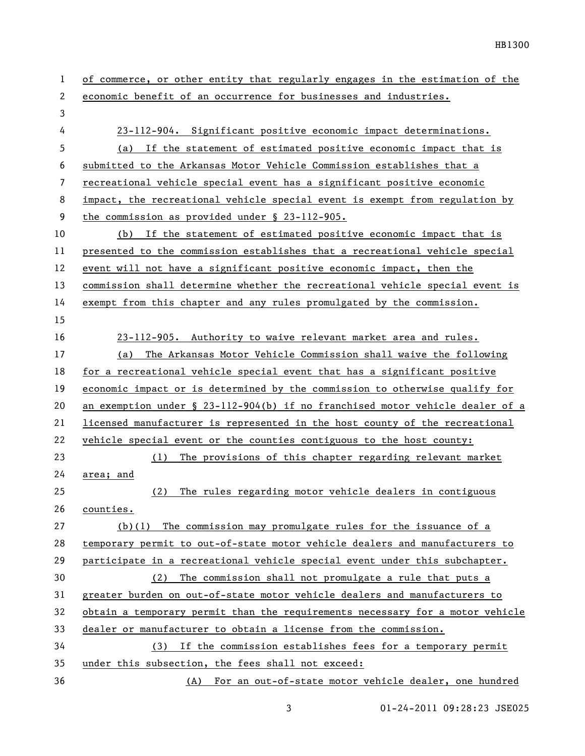| 1  | of commerce, or other entity that regularly engages in the estimation of the     |
|----|----------------------------------------------------------------------------------|
| 2  | economic benefit of an occurrence for businesses and industries.                 |
| 3  |                                                                                  |
| 4  | 23-112-904. Significant positive economic impact determinations.                 |
| 5  | (a) If the statement of estimated positive economic impact that is               |
| 6  | submitted to the Arkansas Motor Vehicle Commission establishes that a            |
| 7  | recreational vehicle special event has a significant positive economic           |
| 8  | impact, the recreational vehicle special event is exempt from regulation by      |
| 9  | the commission as provided under $\S$ 23-112-905.                                |
| 10 | (b) If the statement of estimated positive economic impact that is               |
| 11 | presented to the commission establishes that a recreational vehicle special      |
| 12 | event will not have a significant positive economic impact, then the             |
| 13 | commission shall determine whether the recreational vehicle special event is     |
| 14 | exempt from this chapter and any rules promulgated by the commission.            |
| 15 |                                                                                  |
| 16 | 23-112-905. Authority to waive relevant market area and rules.                   |
| 17 | The Arkansas Motor Vehicle Commission shall waive the following<br>(a)           |
| 18 | for a recreational vehicle special event that has a significant positive         |
| 19 | economic impact or is determined by the commission to otherwise qualify for      |
| 20 | an exemption under $\S$ 23-112-904(b) if no franchised motor vehicle dealer of a |
| 21 | licensed manufacturer is represented in the host county of the recreational      |
| 22 | vehicle special event or the counties contiguous to the host county:             |
| 23 | The provisions of this chapter regarding relevant market<br>(1)                  |
| 24 | area; and                                                                        |
| 25 | The rules regarding motor vehicle dealers in contiguous<br>(2)                   |
| 26 | counties.                                                                        |
| 27 | $(b)(1)$ The commission may promulgate rules for the issuance of a               |
| 28 | temporary permit to out-of-state motor vehicle dealers and manufacturers to      |
| 29 | participate in a recreational vehicle special event under this subchapter.       |
| 30 | (2) The commission shall not promulgate a rule that puts a                       |
| 31 | greater burden on out-of-state motor vehicle dealers and manufacturers to        |
| 32 | obtain a temporary permit than the requirements necessary for a motor vehicle    |
| 33 | dealer or manufacturer to obtain a license from the commission.                  |
| 34 | (3) If the commission establishes fees for a temporary permit                    |
| 35 | under this subsection, the fees shall not exceed:                                |
| 36 | (A) For an out-of-state motor vehicle dealer, one hundred                        |

3 01-24-2011 09:28:23 JSE025